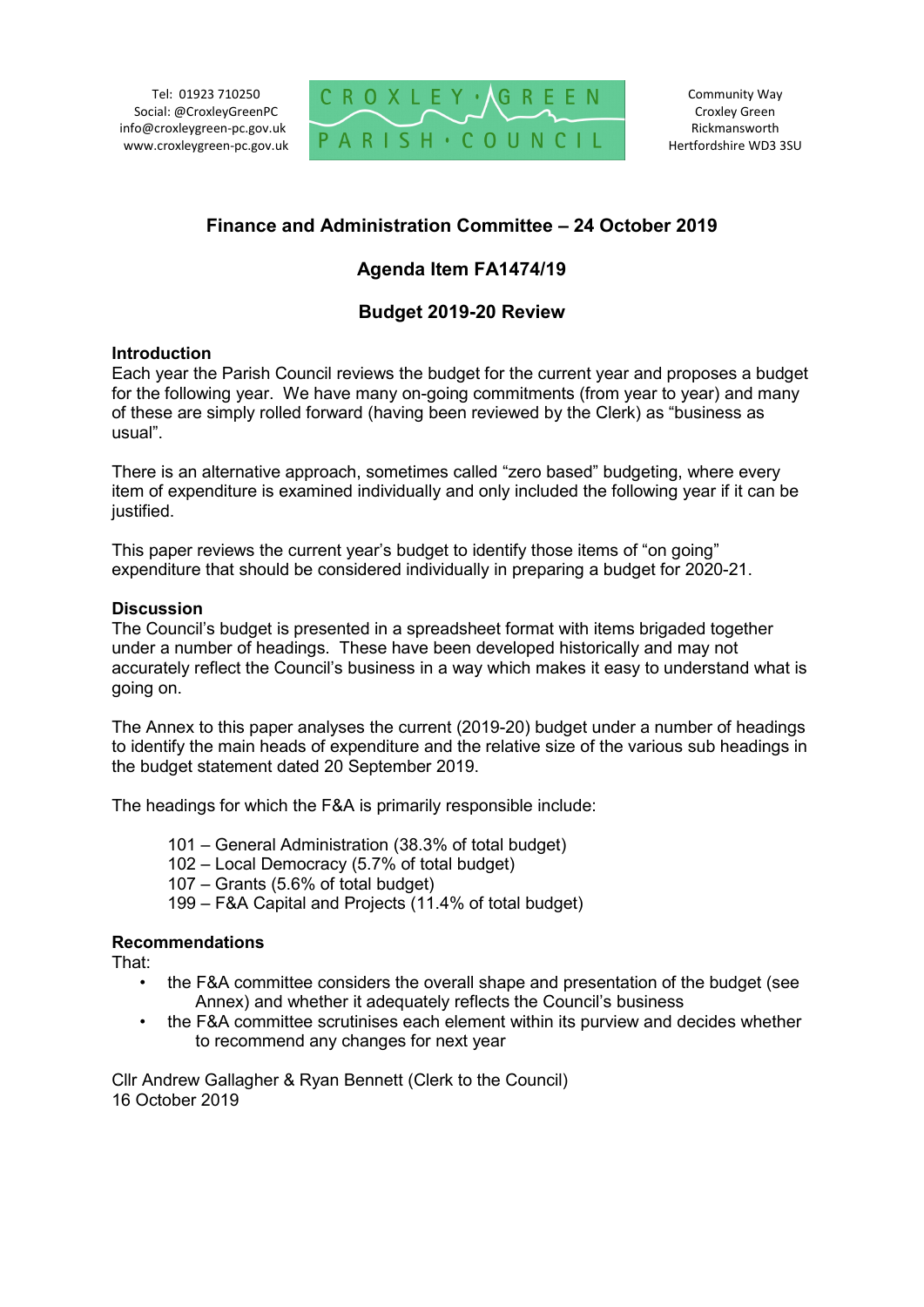Tel: 01923 710250 Social: @CroxleyGreenPC info@croxleygreen-pc.gov.uk www.croxleygreen-pc.gov.uk



# **Finance and Administration Committee – 24 October 2019**

# **Agenda Item FA1474/19**

# **Budget 2019-20 Review**

#### **Introduction**

Each year the Parish Council reviews the budget for the current year and proposes a budget for the following year. We have many on-going commitments (from year to year) and many of these are simply rolled forward (having been reviewed by the Clerk) as "business as usual".

There is an alternative approach, sometimes called "zero based" budgeting, where every item of expenditure is examined individually and only included the following year if it can be justified.

This paper reviews the current year's budget to identify those items of "on going" expenditure that should be considered individually in preparing a budget for 2020-21.

#### **Discussion**

The Council's budget is presented in a spreadsheet format with items brigaded together under a number of headings. These have been developed historically and may not accurately reflect the Council's business in a way which makes it easy to understand what is going on.

The Annex to this paper analyses the current (2019-20) budget under a number of headings to identify the main heads of expenditure and the relative size of the various sub headings in the budget statement dated 20 September 2019.

The headings for which the F&A is primarily responsible include:

- 101 General Administration (38.3% of total budget)
- 102 Local Democracy (5.7% of total budget)
- 107 Grants (5.6% of total budget)
- 199 F&A Capital and Projects (11.4% of total budget)

## **Recommendations**

That:

- the F&A committee considers the overall shape and presentation of the budget (see Annex) and whether it adequately reflects the Council's business
- the F&A committee scrutinises each element within its purview and decides whether to recommend any changes for next year

Cllr Andrew Gallagher & Ryan Bennett (Clerk to the Council) 16 October 2019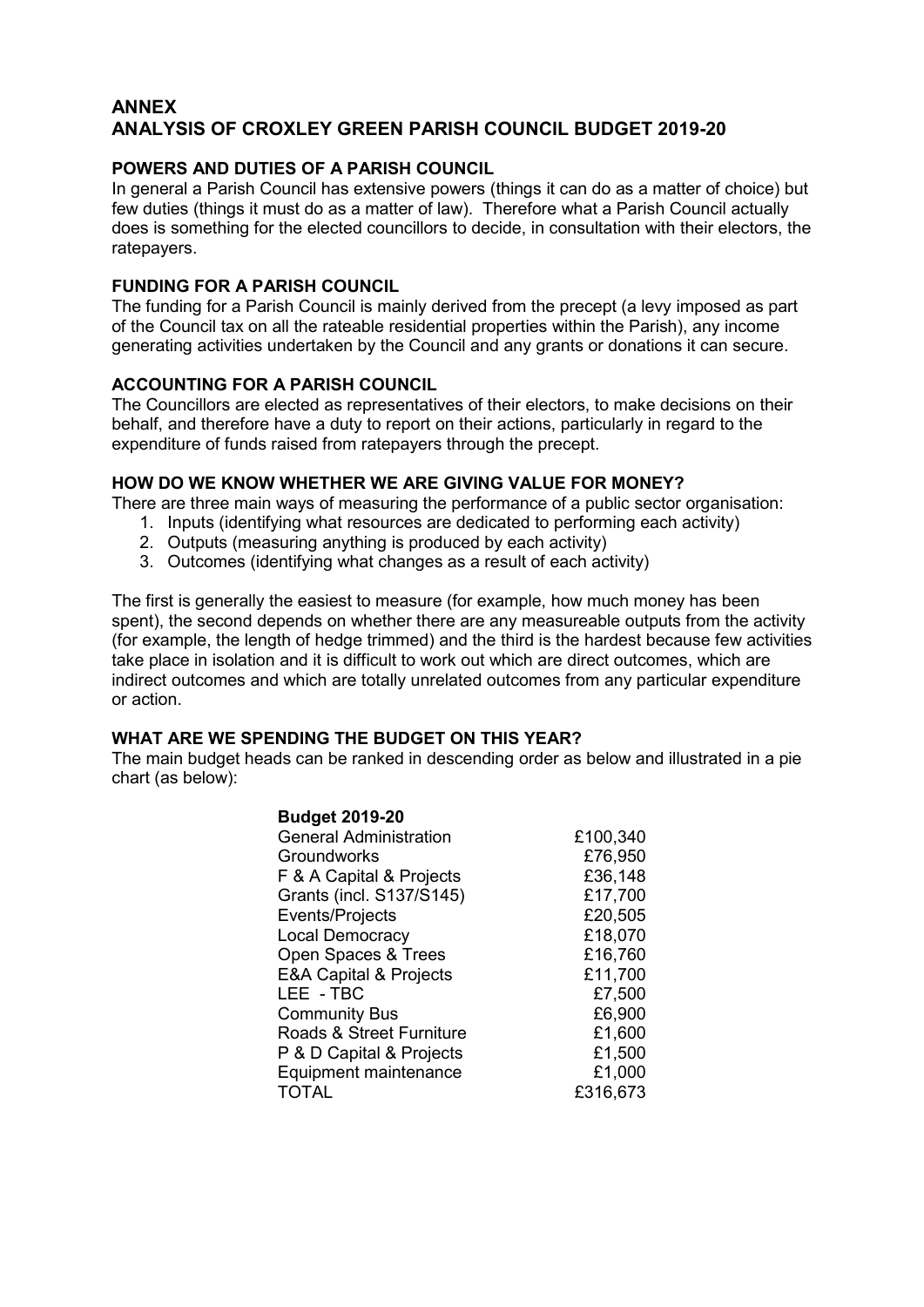### **ANNEX ANALYSIS OF CROXLEY GREEN PARISH COUNCIL BUDGET 2019-20**

### **POWERS AND DUTIES OF A PARISH COUNCIL**

In general a Parish Council has extensive powers (things it can do as a matter of choice) but few duties (things it must do as a matter of law). Therefore what a Parish Council actually does is something for the elected councillors to decide, in consultation with their electors, the ratepayers.

#### **FUNDING FOR A PARISH COUNCIL**

The funding for a Parish Council is mainly derived from the precept (a levy imposed as part of the Council tax on all the rateable residential properties within the Parish), any income generating activities undertaken by the Council and any grants or donations it can secure.

### **ACCOUNTING FOR A PARISH COUNCIL**

The Councillors are elected as representatives of their electors, to make decisions on their behalf, and therefore have a duty to report on their actions, particularly in regard to the expenditure of funds raised from ratepayers through the precept.

#### **HOW DO WE KNOW WHETHER WE ARE GIVING VALUE FOR MONEY?**

There are three main ways of measuring the performance of a public sector organisation:

- 1. Inputs (identifying what resources are dedicated to performing each activity)
- 2. Outputs (measuring anything is produced by each activity)
- 3. Outcomes (identifying what changes as a result of each activity)

The first is generally the easiest to measure (for example, how much money has been spent), the second depends on whether there are any measureable outputs from the activity (for example, the length of hedge trimmed) and the third is the hardest because few activities take place in isolation and it is difficult to work out which are direct outcomes, which are indirect outcomes and which are totally unrelated outcomes from any particular expenditure or action.

## **WHAT ARE WE SPENDING THE BUDGET ON THIS YEAR?**

The main budget heads can be ranked in descending order as below and illustrated in a pie chart (as below):

| £100,340 |
|----------|
| £76,950  |
| £36,148  |
| £17,700  |
| £20,505  |
| £18,070  |
| £16,760  |
| £11,700  |
| £7,500   |
| £6,900   |
| £1,600   |
| £1,500   |
| £1,000   |
| £316,673 |
|          |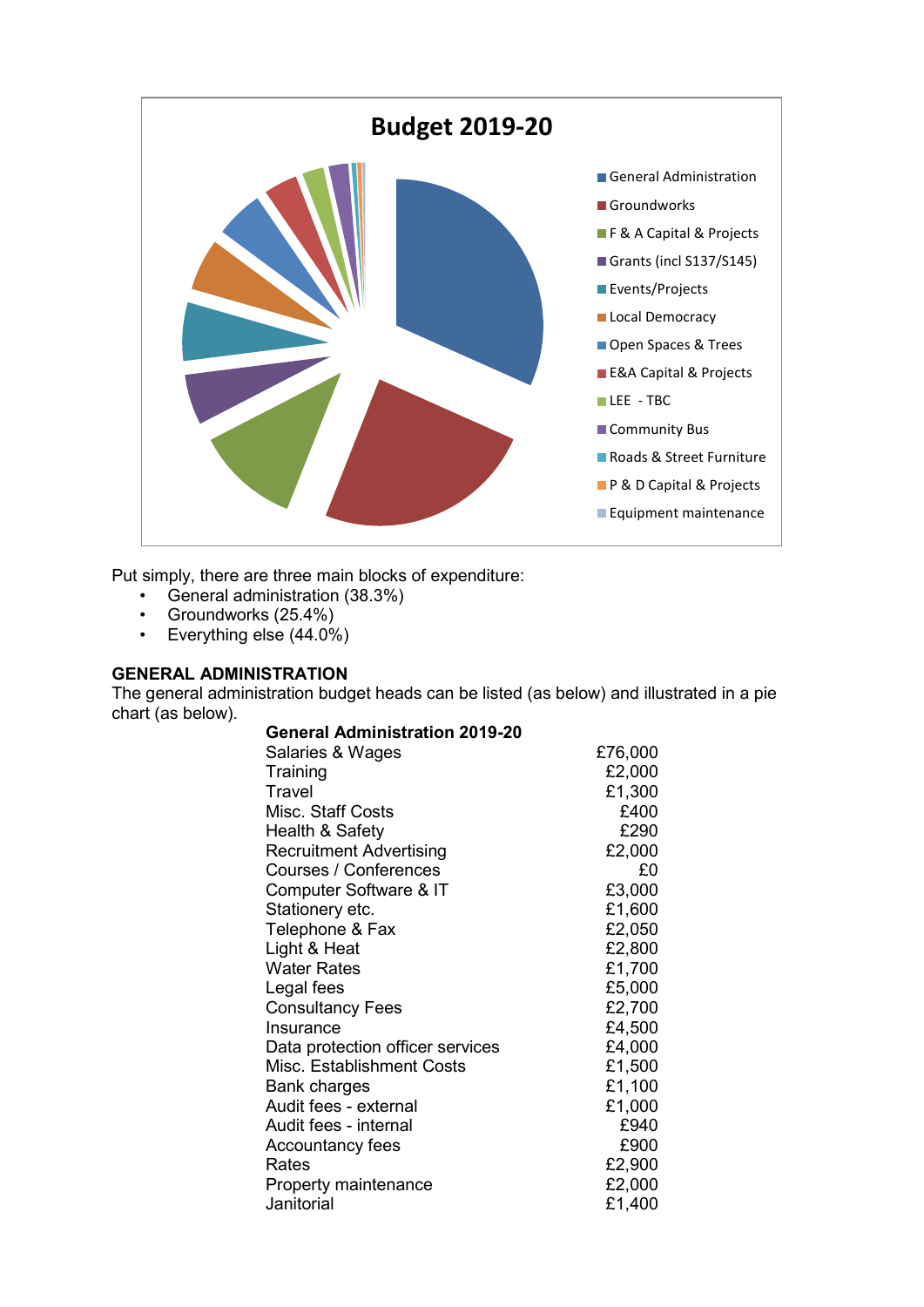

Put simply, there are three main blocks of expenditure:

- General administration (38.3%)
- Groundworks (25.4%)
- Everything else (44.0%)

## **GENERAL ADMINISTRATION**

The general administration budget heads can be listed (as below) and illustrated in a pie chart (as below).

| <b>General Administration 2019-20</b> |         |
|---------------------------------------|---------|
| Salaries & Wages                      | £76,000 |
| Training                              | £2,000  |
| Travel                                | £1,300  |
| Misc. Staff Costs                     | £400    |
| Health & Safety                       | £290    |
| <b>Recruitment Advertising</b>        | £2,000  |
| Courses / Conferences                 | £0      |
| Computer Software & IT                | £3,000  |
| Stationery etc.                       | £1,600  |
| Telephone & Fax                       | £2,050  |
| Light & Heat                          | £2,800  |
| <b>Water Rates</b>                    | £1,700  |
| Legal fees                            | £5,000  |
| <b>Consultancy Fees</b>               | £2,700  |
| Insurance                             | £4,500  |
| Data protection officer services      | £4,000  |
| Misc. Establishment Costs             | £1,500  |
| Bank charges                          | £1,100  |
| Audit fees - external                 | £1,000  |
| Audit fees - internal                 | £940    |
| <b>Accountancy fees</b>               | £900    |
| Rates                                 | £2,900  |
| Property maintenance                  | £2,000  |
| Janitorial                            | £1,400  |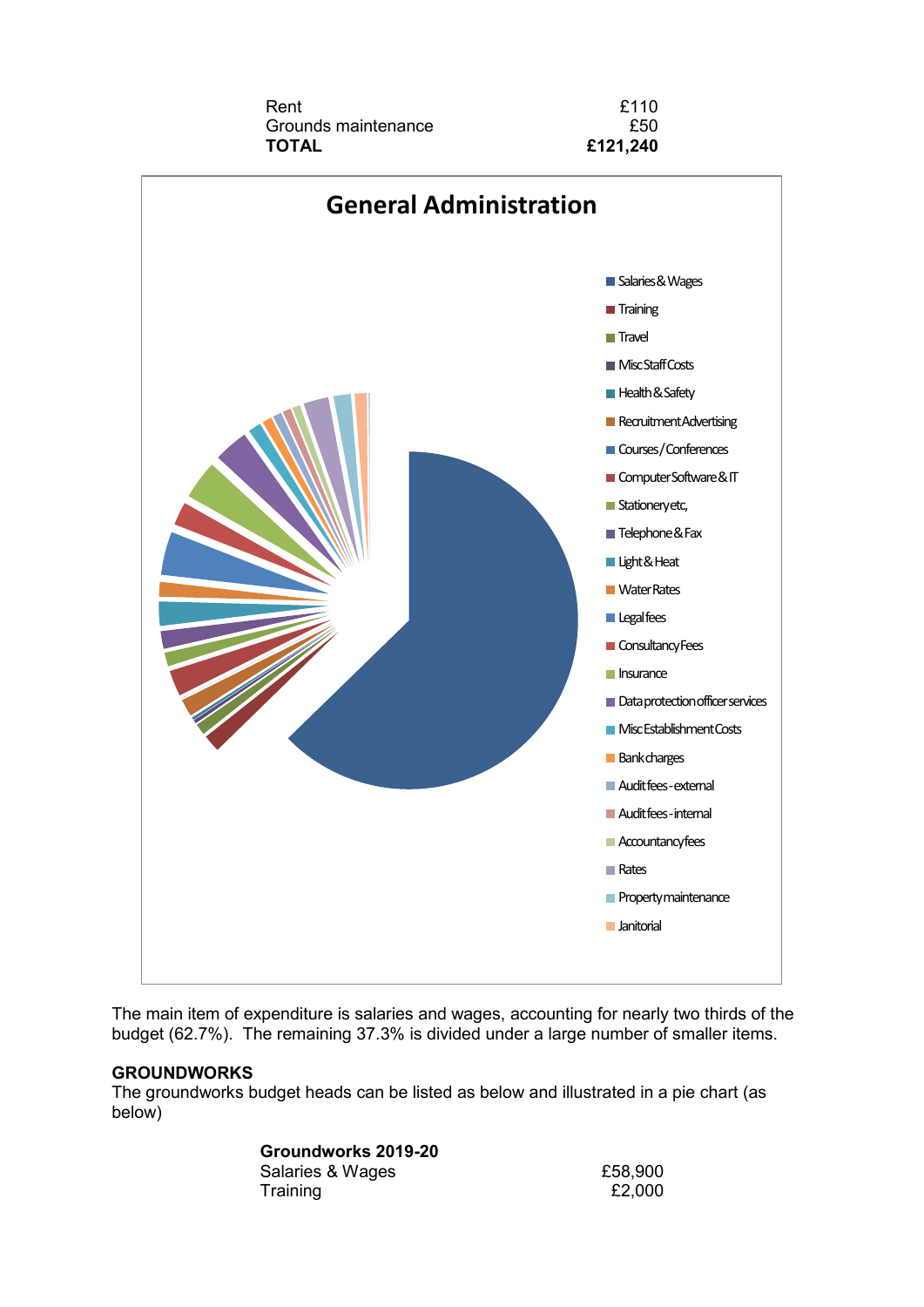



The main item of expenditure is salaries and wages, accounting for nearly two thirds of the budget (62.7%). The remaining 37.3% is divided under a large number of smaller items.

#### **GROUNDWORKS**

The groundworks budget heads can be listed as below and illustrated in a pie chart (as below)

## **Groundworks 2019-20**

Salaries & Wages Training

| £58,900 |        |
|---------|--------|
|         | £2,000 |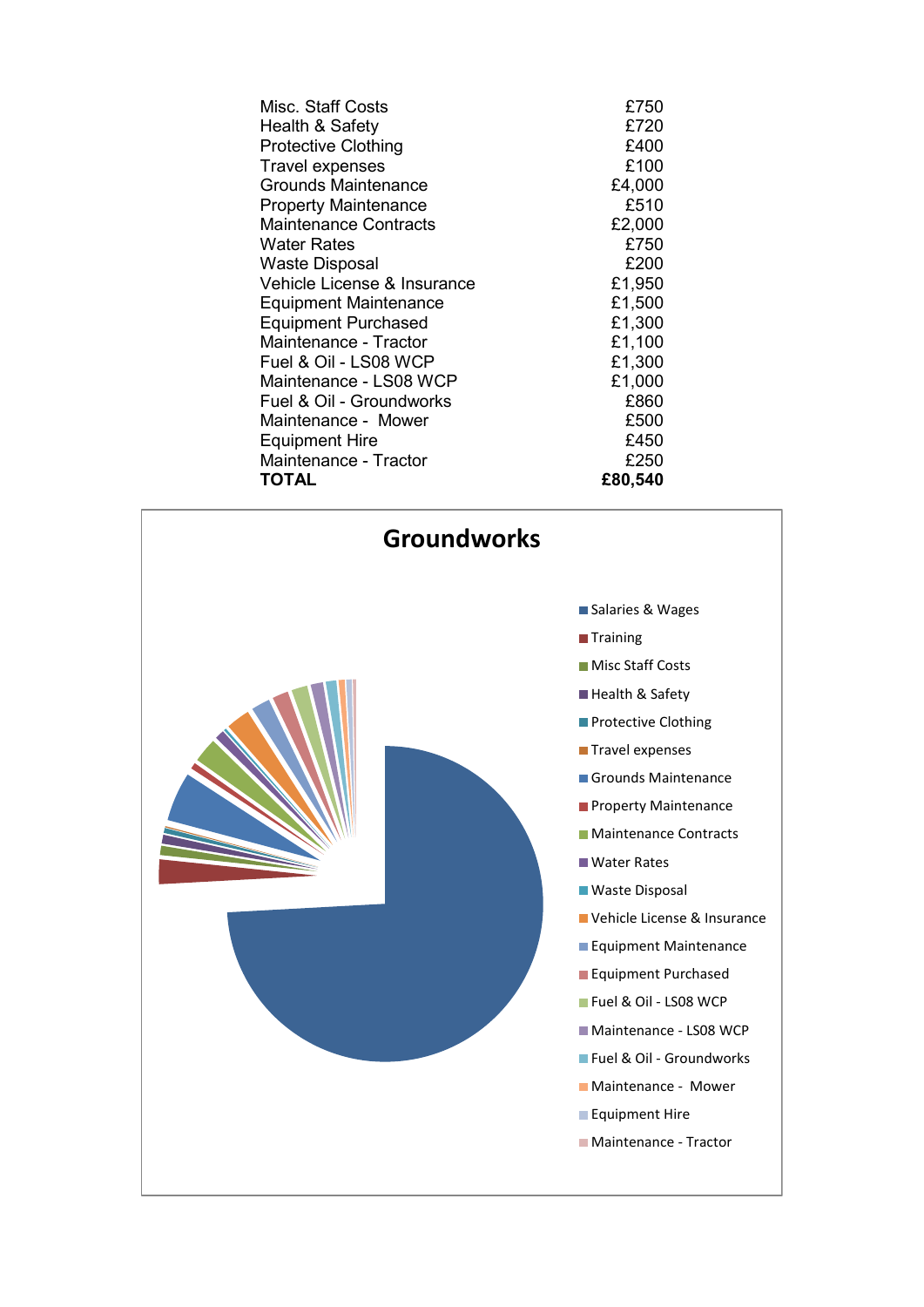| Misc. Staff Costs            | £750    |
|------------------------------|---------|
| Health & Safety              | £720    |
| <b>Protective Clothing</b>   | £400    |
| <b>Travel expenses</b>       | £100    |
| Grounds Maintenance          | £4,000  |
| <b>Property Maintenance</b>  | £510    |
| <b>Maintenance Contracts</b> | £2,000  |
| Water Rates                  | £750    |
| <b>Waste Disposal</b>        | £200    |
| Vehicle License & Insurance  | £1,950  |
| <b>Equipment Maintenance</b> | £1,500  |
| <b>Equipment Purchased</b>   | £1,300  |
| Maintenance - Tractor        | £1,100  |
| Fuel & Oil - LS08 WCP        | £1,300  |
| Maintenance - LS08 WCP       | £1,000  |
| Fuel & Oil - Groundworks     | £860    |
| Maintenance - Mower          | £500    |
| <b>Equipment Hire</b>        | £450    |
| Maintenance - Tractor        | £250    |
| <b>TOTAL</b>                 | £80,540 |